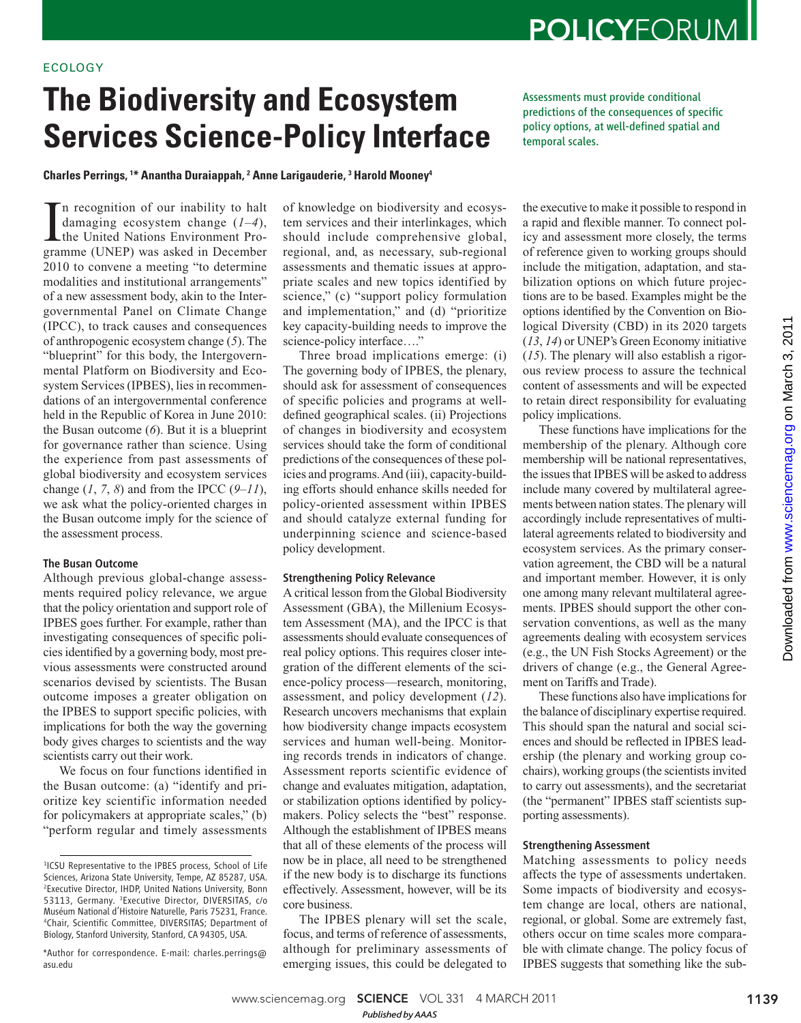Assessments must provide conditional predictions of the consequences of specific policy options, at well-defined spatial and

temporal scales.

## ECOLOGY

# **The Biodiversity and Ecosystem Services Science-Policy Interface**

**Charles Perrings, <sup>1</sup>\* Anantha Duraiappah, <sup>2</sup> Anne Larigauderie, <sup>3</sup> Harold Mooney <sup>4</sup>** 

In recognition of our inability to halt<br>damaging ecosystem change  $(l-4)$ ,<br>the United Nations Environment Pro-<br>gramme (UNEP) was asked in December n recognition of our inability to halt damaging ecosystem change  $(1-4)$ , the United Nations Environment Pro-2010 to convene a meeting "to determine modalities and institutional arrangements" of a new assessment body, akin to the Intergovernmental Panel on Climate Change (IPCC), to track causes and consequences of anthropogenic ecosystem change ( *5*). The "blueprint" for this body, the Intergovernmental Platform on Biodiversity and Ecosystem Services (IPBES), lies in recommendations of an intergovernmental conference held in the Republic of Korea in June 2010: the Busan outcome  $(6)$ . But it is a blueprint for governance rather than science. Using the experience from past assessments of global biodiversity and ecosystem services change  $(1, 7, 8)$  and from the IPCC  $(9-11)$ , we ask what the policy-oriented charges in the Busan outcome imply for the science of the assessment process.

## The Busan Outcome

Although previous global-change assessments required policy relevance, we argue that the policy orientation and support role of IPBES goes further. For example, rather than investigating consequences of specific policies identified by a governing body, most previous assessments were constructed around scenarios devised by scientists. The Busan outcome imposes a greater obligation on the IPBES to support specific policies, with implications for both the way the governing body gives charges to scientists and the way scientists carry out their work.

We focus on four functions identified in the Busan outcome: (a) "identify and prioritize key scientific information needed for policymakers at appropriate scales," (b) "perform regular and timely assessments

of knowledge on biodiversity and ecosystem services and their interlinkages, which should include comprehensive global, regional, and, as necessary, sub-regional assessments and thematic issues at appropriate scales and new topics identified by science," (c) "support policy formulation and implementation," and (d) "prioritize key capacity-building needs to improve the science-policy interface…."

Three broad implications emerge: (i) The governing body of IPBES, the plenary, should ask for assessment of consequences of specific policies and programs at welldefined geographical scales. (ii) Projections of changes in biodiversity and ecosystem services should take the form of conditional predictions of the consequences of these policies and programs. And (iii), capacity-building efforts should enhance skills needed for policy-oriented assessment within IPBES and should catalyze external funding for underpinning science and science-based policy development.

## Strengthening Policy Relevance

A critical lesson from the Global Biodiversity Assessment (GBA), the Millenium Ecosystem Assessment (MA), and the IPCC is that assessments should evaluate consequences of real policy options. This requires closer integration of the different elements of the science-policy process—research, monitoring, assessment, and policy development (12). Research uncovers mechanisms that explain how biodiversity change impacts ecosystem services and human well-being. Monitoring records trends in indicators of change. Assessment reports scientific evidence of change and evaluates mitigation, adaptation, or stabilization options identified by policymakers. Policy selects the "best" response. Although the establishment of IPBES means that all of these elements of the process will now be in place, all need to be strengthened if the new body is to discharge its functions effectively. Assessment, however, will be its core business.

The IPBES plenary will set the scale, focus, and terms of reference of assessments, although for preliminary assessments of emerging issues, this could be delegated to

the executive to make it possible to respond in a rapid and flexible manner. To connect policy and assessment more closely, the terms of reference given to working groups should include the mitigation, adaptation, and stabilization options on which future projections are to be based. Examples might be the options identified by the Convention on Biological Diversity (CBD) in its 2020 targets ( *13*, *14*) or UNEP's Green Economy initiative ( *15*). The plenary will also establish a rigorous review process to assure the technical content of assessments and will be expected to retain direct responsibility for evaluating policy implications.

These functions have implications for the membership of the plenary. Although core membership will be national representatives, the issues that IPBES will be asked to address include many covered by multilateral agreements between nation states. The plenary will accordingly include representatives of multilateral agreements related to biodiversity and ecosystem services. As the primary conservation agreement, the CBD will be a natural and important member. However, it is only one among many relevant multilateral agreements. IPBES should support the other conservation conventions, as well as the many agreements dealing with ecosystem services (e.g., the UN Fish Stocks Agreement) or the drivers of change (e.g., the General Agreement on Tariffs and Trade).

These functions also have implications for the balance of disciplinary expertise required. This should span the natural and social sciences and should be reflected in IPBES leadership (the plenary and working group cochairs), working groups (the scientists invited to carry out assessments), and the secretariat (the "permanent" IPBES staff scientists supporting assessments).

### Strengthening Assessment

Matching assessments to policy needs affects the type of assessments undertaken. Some impacts of biodiversity and ecosystem change are local, others are national, regional, or global. Some are extremely fast, others occur on time scales more comparable with climate change. The policy focus of IPBES suggests that something like the sub-

<sup>1</sup> ICSU Representative to the IPBES process, School of Life Sciences, Arizona State University, Tempe, AZ 85287, USA. <sup>2</sup>Executive Director, IHDP, United Nations University, Bonn 53113, Germany. <sup>3</sup>Executive Director, DIVERSITAS, c/o Muséum National d'Histoire Naturelle, Paris 75231, France. <sup>4</sup>Chair, Scientific Committee, DIVERSITAS; Department of Biology, Stanford University, Stanford, CA 94305, USA.

<sup>\*</sup>Author for correspondence. E-mail: charles.perrings@ asu.edu